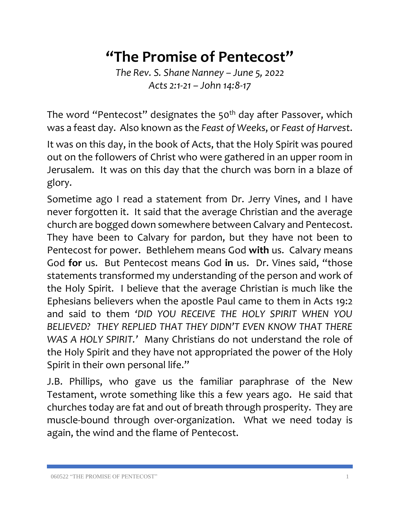## **"The Promise of Pentecost"**

*The Rev. S. Shane Nanney – June 5, 2022 Acts 2:1-21 – John 14:8-17*

The word "Pentecost" designates the 50<sup>th</sup> day after Passover, which was a feast day. Also known as the *Feast of Weeks*, or *Feast of Harvest*.

It was on this day, in the book of Acts, that the Holy Spirit was poured out on the followers of Christ who were gathered in an upper room in Jerusalem. It was on this day that the church was born in a blaze of glory.

Sometime ago I read a statement from Dr. Jerry Vines, and I have never forgotten it. It said that the average Christian and the average church are bogged down somewhere between Calvary and Pentecost. They have been to Calvary for pardon, but they have not been to Pentecost for power. Bethlehem means God **with** us. Calvary means God **for** us. But Pentecost means God **in** us. Dr. Vines said, "those statements transformed my understanding of the person and work of the Holy Spirit. I believe that the average Christian is much like the Ephesians believers when the apostle Paul came to them in Acts 19:2 and said to them *'DID YOU RECEIVE THE HOLY SPIRIT WHEN YOU BELIEVED? THEY REPLIED THAT THEY DIDN'T EVEN KNOW THAT THERE WAS A HOLY SPIRIT.'* Many Christians do not understand the role of the Holy Spirit and they have not appropriated the power of the Holy Spirit in their own personal life."

J.B. Phillips, who gave us the familiar paraphrase of the New Testament, wrote something like this a few years ago. He said that churches today are fat and out of breath through prosperity. They are muscle-bound through over-organization. What we need today is again, the wind and the flame of Pentecost.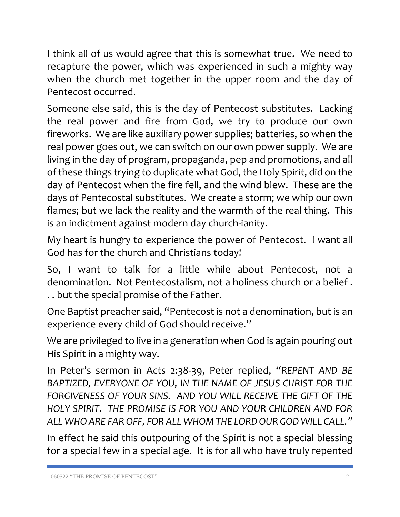I think all of us would agree that this is somewhat true. We need to recapture the power, which was experienced in such a mighty way when the church met together in the upper room and the day of Pentecost occurred.

Someone else said, this is the day of Pentecost substitutes. Lacking the real power and fire from God, we try to produce our own fireworks. We are like auxiliary power supplies; batteries, so when the real power goes out, we can switch on our own power supply. We are living in the day of program, propaganda, pep and promotions, and all of these things trying to duplicate what God, the Holy Spirit, did on the day of Pentecost when the fire fell, and the wind blew. These are the days of Pentecostal substitutes. We create a storm; we whip our own flames; but we lack the reality and the warmth of the real thing. This is an indictment against modern day church-ianity.

My heart is hungry to experience the power of Pentecost. I want all God has for the church and Christians today!

So, I want to talk for a little while about Pentecost, not a denomination. Not Pentecostalism, not a holiness church or a belief . . . but the special promise of the Father.

One Baptist preacher said, "Pentecost is not a denomination, but is an experience every child of God should receive."

We are privileged to live in a generation when God is again pouring out His Spirit in a mighty way.

In Peter's sermon in Acts 2:38-39, Peter replied, "*REPENT AND BE BAPTIZED, EVERYONE OF YOU, IN THE NAME OF JESUS CHRIST FOR THE FORGIVENESS OF YOUR SINS. AND YOU WILL RECEIVE THE GIFT OF THE HOLY SPIRIT. THE PROMISE IS FOR YOU AND YOUR CHILDREN AND FOR ALL WHO ARE FAR OFF, FOR ALL WHOM THE LORD OUR GOD WILL CALL."*

In effect he said this outpouring of the Spirit is not a special blessing for a special few in a special age. It is for all who have truly repented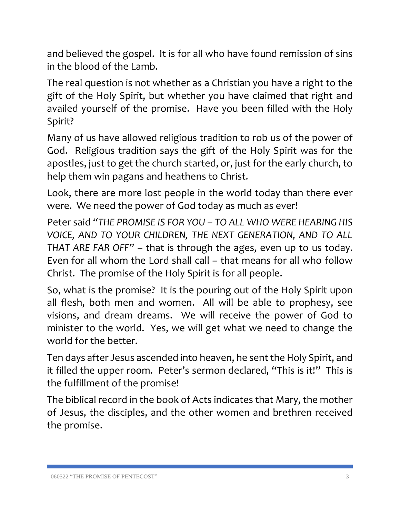and believed the gospel. It is for all who have found remission of sins in the blood of the Lamb.

The real question is not whether as a Christian you have a right to the gift of the Holy Spirit, but whether you have claimed that right and availed yourself of the promise. Have you been filled with the Holy Spirit?

Many of us have allowed religious tradition to rob us of the power of God. Religious tradition says the gift of the Holy Spirit was for the apostles, just to get the church started, or, just for the early church, to help them win pagans and heathens to Christ.

Look, there are more lost people in the world today than there ever were. We need the power of God today as much as ever!

Peter said *"THE PROMISE IS FOR YOU – TO ALL WHO WERE HEARING HIS VOICE, AND TO YOUR CHILDREN, THE NEXT GENERATION, AND TO ALL THAT ARE FAR OFF"* – that is through the ages, even up to us today. Even for all whom the Lord shall call – that means for all who follow Christ. The promise of the Holy Spirit is for all people.

So, what is the promise? It is the pouring out of the Holy Spirit upon all flesh, both men and women. All will be able to prophesy, see visions, and dream dreams. We will receive the power of God to minister to the world. Yes, we will get what we need to change the world for the better.

Ten days after Jesus ascended into heaven, he sent the Holy Spirit, and it filled the upper room. Peter's sermon declared, "This is it!" This is the fulfillment of the promise!

The biblical record in the book of Acts indicates that Mary, the mother of Jesus, the disciples, and the other women and brethren received the promise.